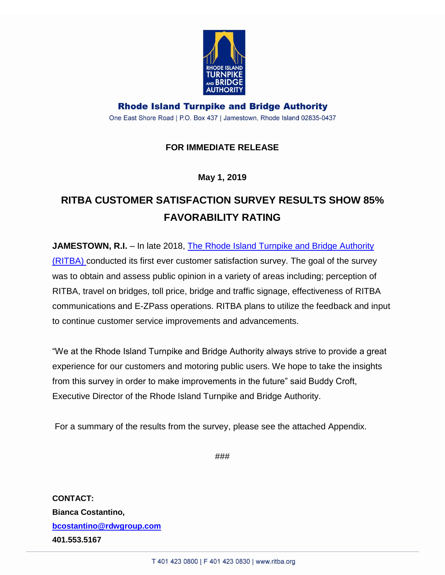

**Rhode Island Turnpike and Bridge Authority** One East Shore Road | P.O. Box 437 | Jamestown, Rhode Island 02835-0437

### **FOR IMMEDIATE RELEASE**

**May 1, 2019**

## **RITBA CUSTOMER SATISFACTION SURVEY RESULTS SHOW 85% FAVORABILITY RATING**

**JAMESTOWN, R.I.** – In late 2018, The Rhode Island Turnpike and Bridge Authority [\(RITBA\)](file://///RDW-FileServer/client/RI%20Turnpike%20and%20Bridge%20Authority/2018/2018%20Press%20Releases/ritba.org) conducted its first ever customer satisfaction survey. The goal of the survey was to obtain and assess public opinion in a variety of areas including; perception of RITBA, travel on bridges, toll price, bridge and traffic signage, effectiveness of RITBA communications and E-ZPass operations. RITBA plans to utilize the feedback and input to continue customer service improvements and advancements.

"We at the Rhode Island Turnpike and Bridge Authority always strive to provide a great experience for our customers and motoring public users. We hope to take the insights from this survey in order to make improvements in the future" said Buddy Croft, Executive Director of the Rhode Island Turnpike and Bridge Authority.

For a summary of the results from the survey, please see the attached Appendix.

###

**CONTACT: Bianca Costantino, [bcostantino@rdwgroup.com](mailto:bcostantino@rdwgroup.com) 401.553.5167**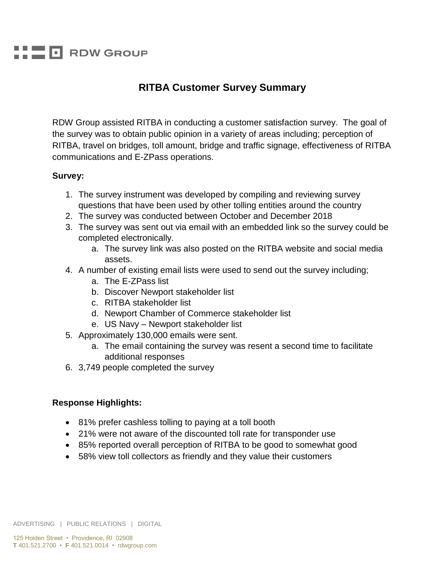# **FI RDW GROUP**

### **RITBA Customer Survey Summary**

RDW Group assisted RITBA in conducting a customer satisfaction survey. The goal of the survey was to obtain public opinion in a variety of areas including; perception of RITBA, travel on bridges, toll amount, bridge and traffic signage, effectiveness of RITBA communications and E-ZPass operations.

#### **Survey:**

- 1. The survey instrument was developed by compiling and reviewing survey questions that have been used by other tolling entities around the country
- 2. The survey was conducted between October and December 2018
- 3. The survey was sent out via email with an embedded link so the survey could be completed electronically.
	- a. The survey link was also posted on the RITBA website and social media assets.
- 4. A number of existing email lists were used to send out the survey including;
	- a. The E-ZPass list
	- b. Discover Newport stakeholder list
	- c. RITBA stakeholder list
	- d. Newport Chamber of Commerce stakeholder list
	- e. US Navy Newport stakeholder list
- 5. Approximately 130,000 emails were sent.
	- a. The email containing the survey was resent a second time to facilitate additional responses
- 6. 3,749 people completed the survey

#### **Response Highlights:**

- 81% prefer cashless tolling to paying at a toll booth
- 21% were not aware of the discounted toll rate for transponder use
- 85% reported overall perception of RITBA to be good to somewhat good
- 58% view toll collectors as friendly and they value their customers